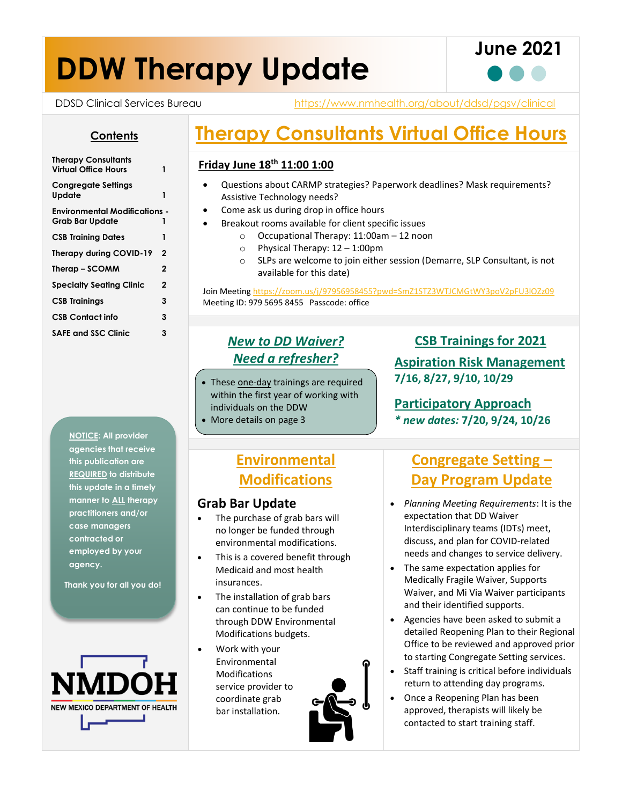# **DDW Therapy Update**



DDSD Clinical Services Bureau https://www.nmhealth.org/about/ddsd/pgsv/clinical

#### **Contents**

| <b>Therapy Consultants</b><br>Virtual Office Hours | 1 |
|----------------------------------------------------|---|
| <b>Congregate Settings</b><br>Update               | 1 |
| Environmental Modifications -<br>Grab Bar Update   | 1 |
| <b>CSB Training Dates</b>                          | 1 |
| Therapy during COVID-19                            | 2 |
| Therap – SCOMM                                     | 2 |
| <b>Specialty Seating Clinic</b>                    | 2 |
| <b>CSB Trainings</b>                               | 3 |
| <b>CSB Contact info</b>                            | 3 |
| <b>SAFE and SSC Clinic</b>                         | 3 |

**NOTICE: All provider agencies that receive this publication are REQUIRED to distribute this update in a timely manner to ALL therapy practitioners and/or case managers contracted or employed by your agency.**

**Thank you for all you do!**



# **Therapy Consultants Virtual Office Hours**

#### **Friday June 18th 11:00 1:00**

- Questions about CARMP strategies? Paperwork deadlines? Mask requirements? Assistive Technology needs?
- Come ask us during drop in office hours
- Breakout rooms available for client specific issues
	- o Occupational Therapy: 11:00am 12 noon
	- o Physical Therapy: 12 1:00pm
	- o SLPs are welcome to join either session (Demarre, SLP Consultant, is not available for this date)

Join Meeting <https://zoom.us/j/97956958455?pwd=SmZ1STZ3WTJCMGtWY3poV2pFU3lOZz09> Meeting ID: 979 5695 8455 Passcode: office

## *New to DD Waiver? Need a refresher?*

• These one-day trainings are required within the first year of working with individuals on the DDW • More details on page 3

#### **CSB Trainings for 2021**

**Aspiration Risk Management 7/16, 8/27, 9/10, 10/29**

**Participatory Approach**  *\* new dates:* **7/20, 9/24, 10/26**

## **Environmental Modifications**

#### **Grab Bar Update**

- The purchase of grab bars will no longer be funded through environmental modifications.
- This is a covered benefit through Medicaid and most health insurances.
- The installation of grab bars can continue to be funded through DDW Environmental Modifications budgets.
- Work with your Environmental Modifications service provider to coordinate grab bar installation.



## **Congregate Setting – Day Program Update**

- *Planning Meeting Requirements*: It is the expectation that DD Waiver Interdisciplinary teams (IDTs) meet, discuss, and plan for COVID-related needs and changes to service delivery.
- The same expectation applies for Medically Fragile Waiver, Supports Waiver, and Mi Via Waiver participants and their identified supports.
- Agencies have been asked to submit a detailed Reopening Plan to their Regional Office to be reviewed and approved prior to starting Congregate Setting services.
- Staff training is critical before individuals return to attending day programs.
- Once a Reopening Plan has been approved, therapists will likely be contacted to start training staff.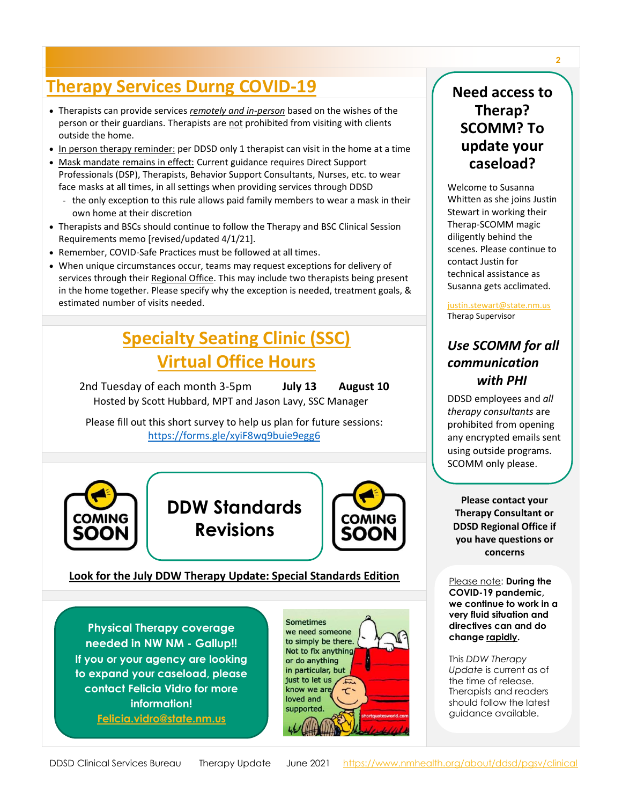# **Therapy Services Durng COVID-19**

- Therapists can provide services *remotely and in-person* based on the wishes of the person or their guardians. Therapists are not prohibited from visiting with clients outside the home.
- In person therapy reminder: per DDSD only 1 therapist can visit in the home at a time
- Mask mandate remains in effect: Current guidance requires Direct Support Professionals (DSP), Therapists, Behavior Support Consultants, Nurses, etc. to wear face masks at all times, in all settings when providing services through DDSD
	- the only exception to this rule allows paid family members to wear a mask in their own home at their discretion
- Therapists and BSCs should continue to follow the Therapy and BSC Clinical Session Requirements memo [revised/updated 4/1/21].
- Remember, COVID-Safe Practices must be followed at all times.
- When unique circumstances occur, teams may request exceptions for delivery of services through their Regional Office. This may include two therapists being present in the home together. Please specify why the exception is needed, treatment goals, & estimated number of visits needed.

# **Specialty Seating Clinic (SSC) Virtual Office Hours**

2nd Tuesday of each month 3-5pm **July 13 August 10** Hosted by Scott Hubbard, MPT and Jason Lavy, SSC Manager

Please fill out this short survey to help us plan for future sessions: <https://forms.gle/xyiF8wq9buie9egg6>







#### **Look for the July DDW Therapy Update: Special Standards Edition**

**Physical Therapy coverage needed in NW NM - Gallup!! If you or your agency are looking to expand your caseload, please contact Felicia Vidro for more information!**

**[Felicia.vidro@state.nm.us](mailto:Felicia.vidro@state.nm.us)**



## **Need access to Therap? SCOMM? To update your caseload?**

Welcome to Susanna Whitten as she joins Justin Stewart in working their Therap-SCOMM magic diligently behind the scenes. Please continue to contact Justin for technical assistance as Susanna gets acclimated.

[justin.stewart@state.nm.us](mailto:justin.stewart@state.nm.us) Therap Supervisor

### *Use SCOMM for all communication with PHI*

DDSD employees and *all therapy consultants* are prohibited from opening any encrypted emails sent using outside programs. SCOMM only please.

**Please contact your Therapy Consultant or DDSD Regional Office if you have questions or concerns**

Please note: **During the COVID-19 pandemic, we continue to work in a very fluid situation and directives can and do change rapidly.** 

This *DDW Therapy Update* is current as of the time of release. Therapists and readers should follow the latest guidance available.